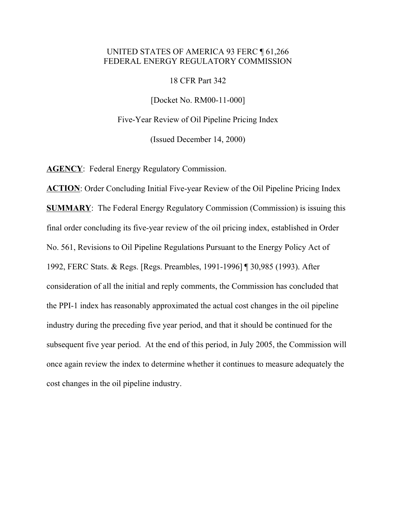### UNITED STATES OF AMERICA 93 FERC ¶ 61,266 FEDERAL ENERGY REGULATORY COMMISSION

18 CFR Part 342

[Docket No. RM00-11-000]

Five-Year Review of Oil Pipeline Pricing Index

(Issued December 14, 2000)

**AGENCY**: Federal Energy Regulatory Commission.

**ACTION**: Order Concluding Initial Five-year Review of the Oil Pipeline Pricing Index **SUMMARY**: The Federal Energy Regulatory Commission (Commission) is issuing this final order concluding its five-year review of the oil pricing index, established in Order No. 561, Revisions to Oil Pipeline Regulations Pursuant to the Energy Policy Act of 1992, FERC Stats. & Regs. [Regs. Preambles, 1991-1996] ¶ 30,985 (1993). After consideration of all the initial and reply comments, the Commission has concluded that the PPI-1 index has reasonably approximated the actual cost changes in the oil pipeline industry during the preceding five year period, and that it should be continued for the subsequent five year period. At the end of this period, in July 2005, the Commission will once again review the index to determine whether it continues to measure adequately the cost changes in the oil pipeline industry.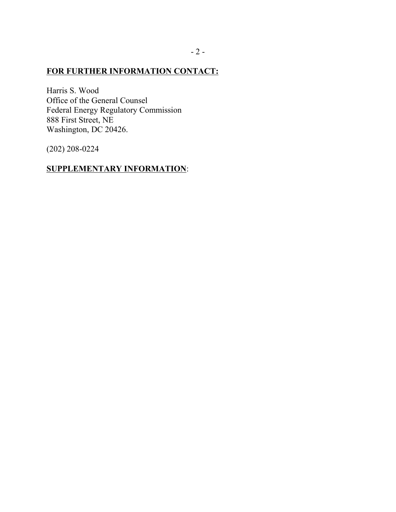## **FOR FURTHER INFORMATION CONTACT:**

Harris S. Wood Office of the General Counsel Federal Energy Regulatory Commission 888 First Street, NE Washington, DC 20426.

(202) 208-0224

# **SUPPLEMENTARY INFORMATION**: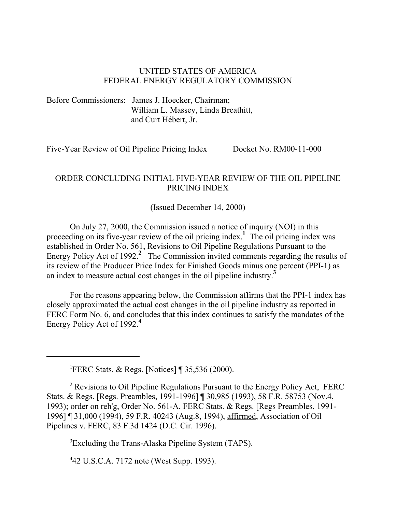### UNITED STATES OF AMERICA FEDERAL ENERGY REGULATORY COMMISSION

Before Commissioners: James J. Hoecker, Chairman; William L. Massey, Linda Breathitt, and Curt Hébert, Jr.

Five-Year Review of Oil Pipeline Pricing Index Docket No. RM00-11-000

## ORDER CONCLUDING INITIAL FIVE-YEAR REVIEW OF THE OIL PIPELINE PRICING INDEX

#### (Issued December 14, 2000)

On July 27, 2000, the Commission issued a notice of inquiry (NOI) in this proceeding on its five-year review of the oil pricing index.**<sup>1</sup>** The oil pricing index was established in Order No. 561, Revisions to Oil Pipeline Regulations Pursuant to the Energy Policy Act of 1992.<sup>2</sup> The Commission invited comments regarding the results of its review of the Producer Price Index for Finished Goods minus one percent (PPI-1) as an index to measure actual cost changes in the oil pipeline industry.**<sup>3</sup>**

For the reasons appearing below, the Commission affirms that the PPI-1 index has closely approximated the actual cost changes in the oil pipeline industry as reported in FERC Form No. 6, and concludes that this index continues to satisfy the mandates of the Energy Policy Act of 1992.**<sup>4</sup>**

<sup>1</sup>FERC Stats. & Regs. [Notices] ¶ 35,536 (2000).

<sup>2</sup> Revisions to Oil Pipeline Regulations Pursuant to the Energy Policy Act, FERC Stats. & Regs. [Regs. Preambles, 1991-1996] ¶ 30,985 (1993), 58 F.R. 58753 (Nov.4, 1993); order on reh'g, Order No. 561-A, FERC Stats. & Regs. [Regs Preambles, 1991- 1996] ¶ 31,000 (1994), 59 F.R. 40243 (Aug.8, 1994), affirmed, Association of Oil Pipelines v. FERC, 83 F.3d 1424 (D.C. Cir. 1996).

<sup>3</sup>Excluding the Trans-Alaska Pipeline System (TAPS).

4 42 U.S.C.A. 7172 note (West Supp. 1993).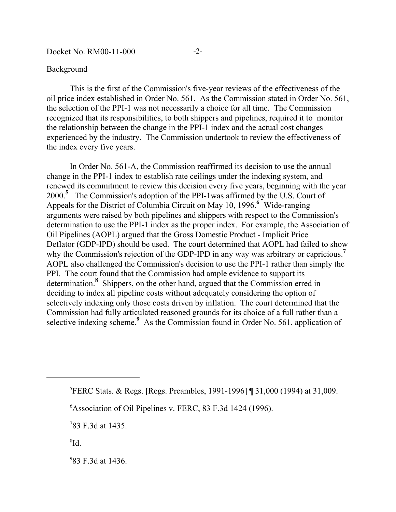#### **Background**

This is the first of the Commission's five-year reviews of the effectiveness of the oil price index established in Order No. 561. As the Commission stated in Order No. 561, the selection of the PPI-1 was not necessarily a choice for all time. The Commission recognized that its responsibilities, to both shippers and pipelines, required it to monitor the relationship between the change in the PPI-1 index and the actual cost changes experienced by the industry. The Commission undertook to review the effectiveness of the index every five years.

In Order No. 561-A, the Commission reaffirmed its decision to use the annual change in the PPI-1 index to establish rate ceilings under the indexing system, and renewed its commitment to review this decision every five years, beginning with the year 2000.**<sup>5</sup>** The Commission's adoption of the PPI-1was affirmed by the U.S. Court of Appeals for the District of Columbia Circuit on May 10, 1996.<sup>6</sup> Wide-ranging arguments were raised by both pipelines and shippers with respect to the Commission's determination to use the PPI-1 index as the proper index. For example, the Association of Oil Pipelines (AOPL) argued that the Gross Domestic Product - Implicit Price Deflator (GDP-IPD) should be used. The court determined that AOPL had failed to show why the Commission's rejection of the GDP-IPD in any way was arbitrary or capricious.<sup>7</sup> AOPL also challenged the Commission's decision to use the PPI-1 rather than simply the PPI. The court found that the Commission had ample evidence to support its determination.**<sup>8</sup>** Shippers, on the other hand, argued that the Commission erred in deciding to index all pipeline costs without adequately considering the option of selectively indexing only those costs driven by inflation. The court determined that the Commission had fully articulated reasoned grounds for its choice of a full rather than a selective indexing scheme.<sup>9</sup> As the Commission found in Order No. 561, application of

- ${}^{8}$ Id.
- 9 83 F.3d at 1436.

<sup>5</sup> FERC Stats. & Regs. [Regs. Preambles, 1991-1996] ¶ 31,000 (1994) at 31,009.

<sup>6</sup> Association of Oil Pipelines v. FERC, 83 F.3d 1424 (1996).

<sup>7</sup> 83 F.3d at 1435.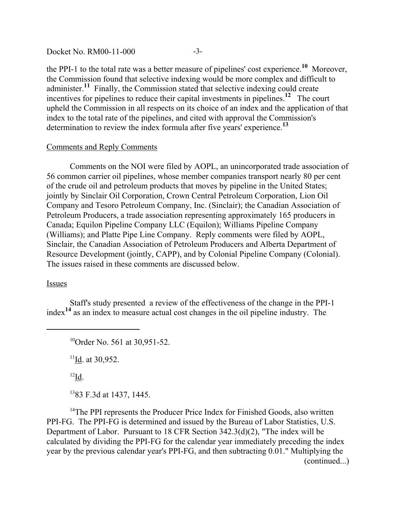Docket No. RM00-11-000 -3-

the PPI-1 to the total rate was a better measure of pipelines' cost experience.**10** Moreover, the Commission found that selective indexing would be more complex and difficult to administer.**11** Finally, the Commission stated that selective indexing could create incentives for pipelines to reduce their capital investments in pipelines.**12** The court upheld the Commission in all respects on its choice of an index and the application of that index to the total rate of the pipelines, and cited with approval the Commission's determination to review the index formula after five years' experience.**<sup>13</sup>**

### Comments and Reply Comments

Comments on the NOI were filed by AOPL, an unincorporated trade association of 56 common carrier oil pipelines, whose member companies transport nearly 80 per cent of the crude oil and petroleum products that moves by pipeline in the United States; jointly by Sinclair Oil Corporation, Crown Central Petroleum Corporation, Lion Oil Company and Tesoro Petroleum Company, Inc. (Sinclair); the Canadian Association of Petroleum Producers, a trade association representing approximately 165 producers in Canada; Equilon Pipeline Company LLC (Equilon); Williams Pipeline Company (Williams); and Platte Pipe Line Company. Reply comments were filed by AOPL, Sinclair, the Canadian Association of Petroleum Producers and Alberta Department of Resource Development (jointly, CAPP), and by Colonial Pipeline Company (Colonial). The issues raised in these comments are discussed below.

Issues

Staff's study presented a review of the effectiveness of the change in the PPI-1 index**14** as an index to measure actual cost changes in the oil pipeline industry. The

<sup>10</sup>Order No. 561 at 30,951-52.

 $11$ Id. at 30,952.

 $^{12}$ Id.

1383 F.3d at 1437, 1445.

<sup>14</sup>The PPI represents the Producer Price Index for Finished Goods, also written PPI-FG. The PPI-FG is determined and issued by the Bureau of Labor Statistics, U.S. Department of Labor. Pursuant to 18 CFR Section 342.3(d)(2), "The index will be calculated by dividing the PPI-FG for the calendar year immediately preceding the index year by the previous calendar year's PPI-FG, and then subtracting 0.01." Multiplying the (continued...)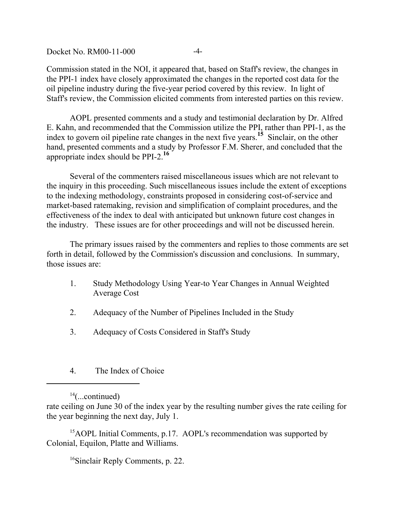Docket No. RM00-11-000 -4-

Commission stated in the NOI, it appeared that, based on Staff's review, the changes in the PPI-1 index have closely approximated the changes in the reported cost data for the oil pipeline industry during the five-year period covered by this review. In light of Staff's review, the Commission elicited comments from interested parties on this review.

AOPL presented comments and a study and testimonial declaration by Dr. Alfred E. Kahn, and recommended that the Commission utilize the PPI, rather than PPI-1, as the index to govern oil pipeline rate changes in the next five years.**15** Sinclair, on the other hand, presented comments and a study by Professor F.M. Sherer, and concluded that the appropriate index should be PPI-2.**<sup>16</sup>**

Several of the commenters raised miscellaneous issues which are not relevant to the inquiry in this proceeding. Such miscellaneous issues include the extent of exceptions to the indexing methodology, constraints proposed in considering cost-of-service and market-based ratemaking, revision and simplification of complaint procedures, and the effectiveness of the index to deal with anticipated but unknown future cost changes in the industry. These issues are for other proceedings and will not be discussed herein.

The primary issues raised by the commenters and replies to those comments are set forth in detail, followed by the Commission's discussion and conclusions. In summary, those issues are:

- 1. Study Methodology Using Year-to Year Changes in Annual Weighted Average Cost
- 2. Adequacy of the Number of Pipelines Included in the Study
- 3. Adequacy of Costs Considered in Staff's Study
- 4. The Index of Choice

 $14$ (...continued)

rate ceiling on June 30 of the index year by the resulting number gives the rate ceiling for the year beginning the next day, July 1.

<sup>15</sup>AOPL Initial Comments, p.17. AOPL's recommendation was supported by Colonial, Equilon, Platte and Williams.

16Sinclair Reply Comments, p. 22.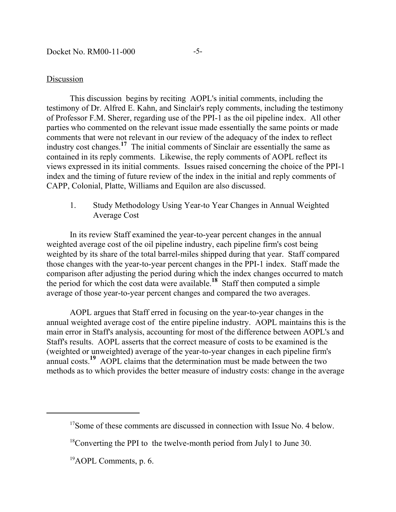Docket No. RM00-11-000 -5-

#### Discussion

This discussion begins by reciting AOPL's initial comments, including the testimony of Dr. Alfred E. Kahn, and Sinclair's reply comments, including the testimony of Professor F.M. Sherer, regarding use of the PPI-1 as the oil pipeline index. All other parties who commented on the relevant issue made essentially the same points or made comments that were not relevant in our review of the adequacy of the index to reflect industry cost changes.**17** The initial comments of Sinclair are essentially the same as contained in its reply comments. Likewise, the reply comments of AOPL reflect its views expressed in its initial comments. Issues raised concerning the choice of the PPI-1 index and the timing of future review of the index in the initial and reply comments of CAPP, Colonial, Platte, Williams and Equilon are also discussed.

1. Study Methodology Using Year-to Year Changes in Annual Weighted Average Cost

In its review Staff examined the year-to-year percent changes in the annual weighted average cost of the oil pipeline industry, each pipeline firm's cost being weighted by its share of the total barrel-miles shipped during that year. Staff compared those changes with the year-to-year percent changes in the PPI-1 index. Staff made the comparison after adjusting the period during which the index changes occurred to match the period for which the cost data were available.<sup>18</sup> Staff then computed a simple average of those year-to-year percent changes and compared the two averages.

AOPL argues that Staff erred in focusing on the year-to-year changes in the annual weighted average cost of the entire pipeline industry. AOPL maintains this is the main error in Staff's analysis, accounting for most of the difference between AOPL's and Staff's results. AOPL asserts that the correct measure of costs to be examined is the (weighted or unweighted) average of the year-to-year changes in each pipeline firm's annual costs.**19** AOPL claims that the determination must be made between the two methods as to which provides the better measure of industry costs: change in the average

<sup>&</sup>lt;sup>17</sup>Some of these comments are discussed in connection with Issue No. 4 below.

 $18$ Converting the PPI to the twelve-month period from July1 to June 30.

<sup>&</sup>lt;sup>19</sup>AOPL Comments, p. 6.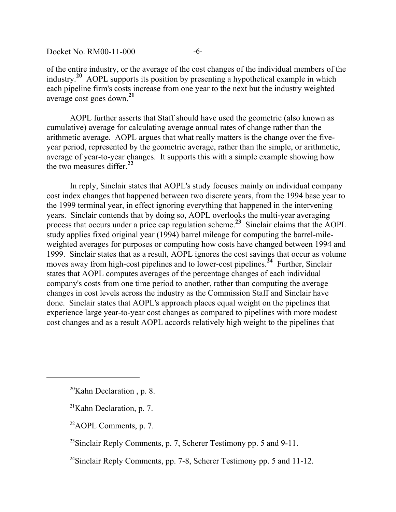of the entire industry, or the average of the cost changes of the individual members of the industry.**20** AOPL supports its position by presenting a hypothetical example in which each pipeline firm's costs increase from one year to the next but the industry weighted average cost goes down.**<sup>21</sup>**

AOPL further asserts that Staff should have used the geometric (also known as cumulative) average for calculating average annual rates of change rather than the arithmetic average. AOPL argues that what really matters is the change over the fiveyear period, represented by the geometric average, rather than the simple, or arithmetic, average of year-to-year changes. It supports this with a simple example showing how the two measures differ.**<sup>22</sup>**

In reply, Sinclair states that AOPL's study focuses mainly on individual company cost index changes that happened between two discrete years, from the 1994 base year to the 1999 terminal year, in effect ignoring everything that happened in the intervening years. Sinclair contends that by doing so, AOPL overlooks the multi-year averaging process that occurs under a price cap regulation scheme.**23** Sinclair claims that the AOPL study applies fixed original year (1994) barrel mileage for computing the barrel-mileweighted averages for purposes or computing how costs have changed between 1994 and 1999. Sinclair states that as a result, AOPL ignores the cost savings that occur as volume moves away from high-cost pipelines and to lower-cost pipelines.<sup>24</sup> Further, Sinclair states that AOPL computes averages of the percentage changes of each individual company's costs from one time period to another, rather than computing the average changes in cost levels across the industry as the Commission Staff and Sinclair have done. Sinclair states that AOPL's approach places equal weight on the pipelines that experience large year-to-year cost changes as compared to pipelines with more modest cost changes and as a result AOPL accords relatively high weight to the pipelines that

 $20$ Kahn Declaration, p. 8.

 $21$ Kahn Declaration, p. 7.

 $22$ AOPL Comments, p. 7.

 $^{23}$ Sinclair Reply Comments, p. 7, Scherer Testimony pp. 5 and 9-11.

<sup>&</sup>lt;sup>24</sup>Sinclair Reply Comments, pp. 7-8, Scherer Testimony pp. 5 and 11-12.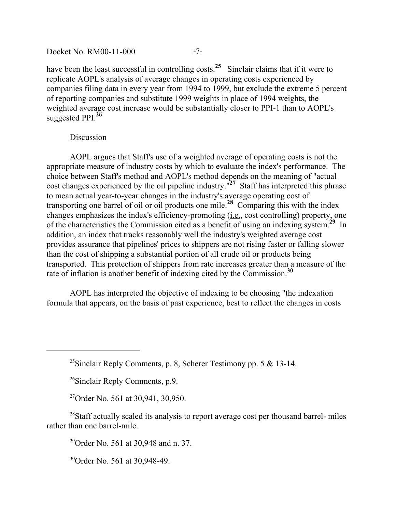#### Docket No. RM00-11-000 -7-

have been the least successful in controlling costs.<sup>25</sup> Sinclair claims that if it were to replicate AOPL's analysis of average changes in operating costs experienced by companies filing data in every year from 1994 to 1999, but exclude the extreme 5 percent of reporting companies and substitute 1999 weights in place of 1994 weights, the weighted average cost increase would be substantially closer to PPI-1 than to AOPL's suggested PPI.**<sup>26</sup>**

### Discussion

AOPL argues that Staff's use of a weighted average of operating costs is not the appropriate measure of industry costs by which to evaluate the index's performance. The choice between Staff's method and AOPL's method depends on the meaning of "actual cost changes experienced by the oil pipeline industry."<sup>27</sup> Staff has interpreted this phrase to mean actual year-to-year changes in the industry's average operating cost of transporting one barrel of oil or oil products one mile.**28** Comparing this with the index changes emphasizes the index's efficiency-promoting (i.e., cost controlling) property, one of the characteristics the Commission cited as a benefit of using an indexing system.**29** In addition, an index that tracks reasonably well the industry's weighted average cost provides assurance that pipelines' prices to shippers are not rising faster or falling slower than the cost of shipping a substantial portion of all crude oil or products being transported. This protection of shippers from rate increases greater than a measure of the rate of inflation is another benefit of indexing cited by the Commission.**<sup>30</sup>**

AOPL has interpreted the objective of indexing to be choosing "the indexation formula that appears, on the basis of past experience, best to reflect the changes in costs

26Sinclair Reply Comments, p.9.

<sup>27</sup>Order No. 561 at 30,941, 30,950.

<sup>28</sup>Staff actually scaled its analysis to report average cost per thousand barrel- miles rather than one barrel-mile.

29Order No. 561 at 30,948 and n. 37.

30Order No. 561 at 30,948-49.

<sup>&</sup>lt;sup>25</sup>Sinclair Reply Comments, p. 8, Scherer Testimony pp. 5  $\&$  13-14.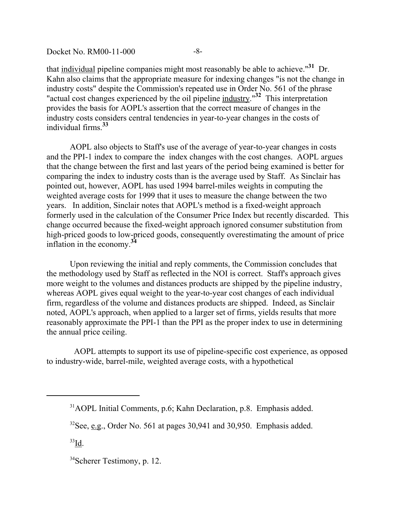that individual pipeline companies might most reasonably be able to achieve."**31** Dr. Kahn also claims that the appropriate measure for indexing changes "is not the change in industry costs" despite the Commission's repeated use in Order No. 561 of the phrase "actual cost changes experienced by the oil pipeline industry."**32** This interpretation provides the basis for AOPL's assertion that the correct measure of changes in the industry costs considers central tendencies in year-to-year changes in the costs of individual firms.**<sup>33</sup>**

AOPL also objects to Staff's use of the average of year-to-year changes in costs and the PPI-1 index to compare the index changes with the cost changes. AOPL argues that the change between the first and last years of the period being examined is better for comparing the index to industry costs than is the average used by Staff. As Sinclair has pointed out, however, AOPL has used 1994 barrel-miles weights in computing the weighted average costs for 1999 that it uses to measure the change between the two years. In addition, Sinclair notes that AOPL's method is a fixed-weight approach formerly used in the calculation of the Consumer Price Index but recently discarded. This change occurred because the fixed-weight approach ignored consumer substitution from high-priced goods to low-priced goods, consequently overestimating the amount of price inflation in the economy.**<sup>34</sup>**

Upon reviewing the initial and reply comments, the Commission concludes that the methodology used by Staff as reflected in the NOI is correct. Staff's approach gives more weight to the volumes and distances products are shipped by the pipeline industry, whereas AOPL gives equal weight to the year-to-year cost changes of each individual firm, regardless of the volume and distances products are shipped. Indeed, as Sinclair noted, AOPL's approach, when applied to a larger set of firms, yields results that more reasonably approximate the PPI-1 than the PPI as the proper index to use in determining the annual price ceiling.

 AOPL attempts to support its use of pipeline-specific cost experience, as opposed to industry-wide, barrel-mile, weighted average costs, with a hypothetical

<sup>31</sup>AOPL Initial Comments, p.6; Kahn Declaration, p.8. Emphasis added.

 $32$ See, e.g., Order No. 561 at pages 30,941 and 30,950. Emphasis added.

 $33$ Id.

<sup>34</sup>Scherer Testimony, p. 12.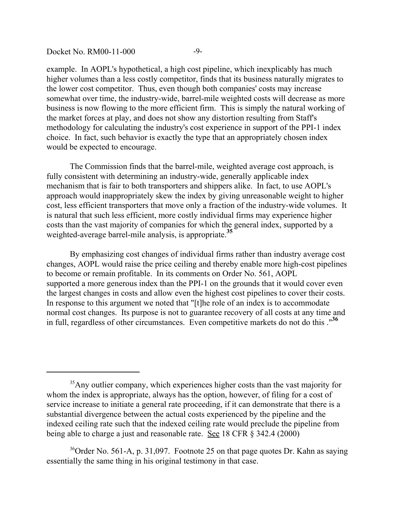Docket No. RM00-11-000 -9-

example. In AOPL's hypothetical, a high cost pipeline, which inexplicably has much higher volumes than a less costly competitor, finds that its business naturally migrates to the lower cost competitor. Thus, even though both companies' costs may increase somewhat over time, the industry-wide, barrel-mile weighted costs will decrease as more business is now flowing to the more efficient firm. This is simply the natural working of the market forces at play, and does not show any distortion resulting from Staff's methodology for calculating the industry's cost experience in support of the PPI-1 index choice. In fact, such behavior is exactly the type that an appropriately chosen index would be expected to encourage.

The Commission finds that the barrel-mile, weighted average cost approach, is fully consistent with determining an industry-wide, generally applicable index mechanism that is fair to both transporters and shippers alike. In fact, to use AOPL's approach would inappropriately skew the index by giving unreasonable weight to higher cost, less efficient transporters that move only a fraction of the industry-wide volumes. It is natural that such less efficient, more costly individual firms may experience higher costs than the vast majority of companies for which the general index, supported by a weighted-average barrel-mile analysis, is appropriate.**<sup>35</sup>**

By emphasizing cost changes of individual firms rather than industry average cost changes, AOPL would raise the price ceiling and thereby enable more high-cost pipelines to become or remain profitable. In its comments on Order No. 561, AOPL supported a more generous index than the PPI-1 on the grounds that it would cover even the largest changes in costs and allow even the highest cost pipelines to cover their costs. In response to this argument we noted that "[t]he role of an index is to accommodate normal cost changes. Its purpose is not to guarantee recovery of all costs at any time and in full, regardless of other circumstances. Even competitive markets do not do this ."**<sup>36</sup>**

<sup>&</sup>lt;sup>35</sup>Any outlier company, which experiences higher costs than the vast majority for whom the index is appropriate, always has the option, however, of filing for a cost of service increase to initiate a general rate proceeding, if it can demonstrate that there is a substantial divergence between the actual costs experienced by the pipeline and the indexed ceiling rate such that the indexed ceiling rate would preclude the pipeline from being able to charge a just and reasonable rate. See 18 CFR § 342.4 (2000)

<sup>&</sup>lt;sup>36</sup>Order No. 561-A, p. 31,097. Footnote 25 on that page quotes Dr. Kahn as saying essentially the same thing in his original testimony in that case.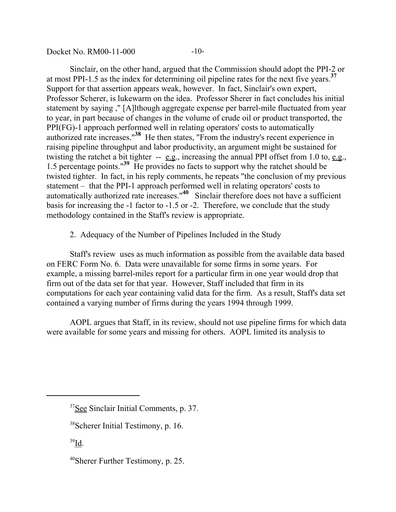Docket No. RM00-11-000 -10-

Sinclair, on the other hand, argued that the Commission should adopt the PPI-2 or at most PPI-1.5 as the index for determining oil pipeline rates for the next five years.**<sup>37</sup>** Support for that assertion appears weak, however. In fact, Sinclair's own expert, Professor Scherer, is lukewarm on the idea. Professor Sherer in fact concludes his initial statement by saying ," [A]lthough aggregate expense per barrel-mile fluctuated from year to year, in part because of changes in the volume of crude oil or product transported, the PPI(FG)-1 approach performed well in relating operators' costs to automatically authorized rate increases."**38** He then states, "From the industry's recent experience in raising pipeline throughput and labor productivity, an argument might be sustained for twisting the ratchet a bit tighter -- e.g., increasing the annual PPI offset from 1.0 to, e.g., 1.5 percentage points."**39** He provides no facts to support why the ratchet should be twisted tighter. In fact, in his reply comments, he repeats "the conclusion of my previous statement – that the PPI-1 approach performed well in relating operators' costs to automatically authorized rate increases."**40** Sinclair therefore does not have a sufficient basis for increasing the -1 factor to -1.5 or -2. Therefore, we conclude that the study methodology contained in the Staff's review is appropriate.

2. Adequacy of the Number of Pipelines Included in the Study

Staff's review uses as much information as possible from the available data based on FERC Form No. 6. Data were unavailable for some firms in some years. For example, a missing barrel-miles report for a particular firm in one year would drop that firm out of the data set for that year. However, Staff included that firm in its computations for each year containing valid data for the firm. As a result, Staff's data set contained a varying number of firms during the years 1994 through 1999.

AOPL argues that Staff, in its review, should not use pipeline firms for which data were available for some years and missing for others. AOPL limited its analysis to

 $39$ Id.

<sup>&</sup>lt;sup>37</sup>See Sinclair Initial Comments, p. 37.

<sup>38</sup>Scherer Initial Testimony, p. 16.

<sup>40</sup>Sherer Further Testimony, p. 25.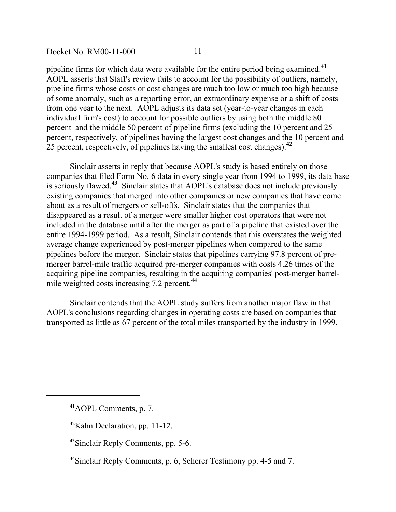Docket No. RM00-11-000 -11-

pipeline firms for which data were available for the entire period being examined.**<sup>41</sup>** AOPL asserts that Staff's review fails to account for the possibility of outliers, namely, pipeline firms whose costs or cost changes are much too low or much too high because of some anomaly, such as a reporting error, an extraordinary expense or a shift of costs from one year to the next. AOPL adjusts its data set (year-to-year changes in each individual firm's cost) to account for possible outliers by using both the middle 80 percent and the middle 50 percent of pipeline firms (excluding the 10 percent and 25 percent, respectively, of pipelines having the largest cost changes and the 10 percent and 25 percent, respectively, of pipelines having the smallest cost changes).**<sup>42</sup>**

Sinclair asserts in reply that because AOPL's study is based entirely on those companies that filed Form No. 6 data in every single year from 1994 to 1999, its data base is seriously flawed.**43** Sinclair states that AOPL's database does not include previously existing companies that merged into other companies or new companies that have come about as a result of mergers or sell-offs. Sinclair states that the companies that disappeared as a result of a merger were smaller higher cost operators that were not included in the database until after the merger as part of a pipeline that existed over the entire 1994-1999 period. As a result, Sinclair contends that this overstates the weighted average change experienced by post-merger pipelines when compared to the same pipelines before the merger. Sinclair states that pipelines carrying 97.8 percent of premerger barrel-mile traffic acquired pre-merger companies with costs 4.26 times of the acquiring pipeline companies, resulting in the acquiring companies' post-merger barrelmile weighted costs increasing 7.2 percent.**<sup>44</sup>**

Sinclair contends that the AOPL study suffers from another major flaw in that AOPL's conclusions regarding changes in operating costs are based on companies that transported as little as 67 percent of the total miles transported by the industry in 1999.

<sup>41</sup>AOPL Comments, p. 7.

 $42$ Kahn Declaration, pp. 11-12.

<sup>43</sup>Sinclair Reply Comments, pp. 5-6.

<sup>44</sup>Sinclair Reply Comments, p. 6, Scherer Testimony pp. 4-5 and 7.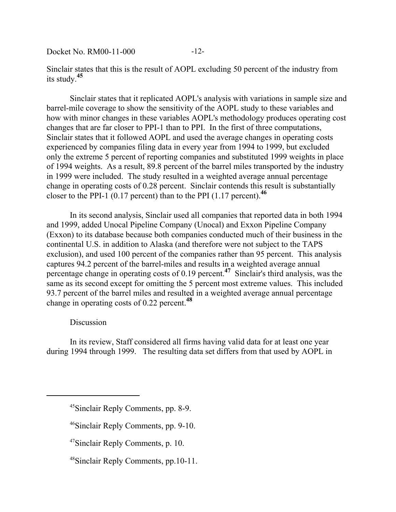Docket No. RM00-11-000 -12-

Sinclair states that this is the result of AOPL excluding 50 percent of the industry from its study.**<sup>45</sup>**

Sinclair states that it replicated AOPL's analysis with variations in sample size and barrel-mile coverage to show the sensitivity of the AOPL study to these variables and how with minor changes in these variables AOPL's methodology produces operating cost changes that are far closer to PPI-1 than to PPI. In the first of three computations, Sinclair states that it followed AOPL and used the average changes in operating costs experienced by companies filing data in every year from 1994 to 1999, but excluded only the extreme 5 percent of reporting companies and substituted 1999 weights in place of 1994 weights. As a result, 89.8 percent of the barrel miles transported by the industry in 1999 were included. The study resulted in a weighted average annual percentage change in operating costs of 0.28 percent. Sinclair contends this result is substantially closer to the PPI-1 (0.17 percent) than to the PPI (1.17 percent).**<sup>46</sup>**

In its second analysis, Sinclair used all companies that reported data in both 1994 and 1999, added Unocal Pipeline Company (Unocal) and Exxon Pipeline Company (Exxon) to its database because both companies conducted much of their business in the continental U.S. in addition to Alaska (and therefore were not subject to the TAPS exclusion), and used 100 percent of the companies rather than 95 percent. This analysis captures 94.2 percent of the barrel-miles and results in a weighted average annual percentage change in operating costs of 0.19 percent.**47** Sinclair's third analysis, was the same as its second except for omitting the 5 percent most extreme values. This included 93.7 percent of the barrel miles and resulted in a weighted average annual percentage change in operating costs of 0.22 percent.**<sup>48</sup>**

### **Discussion**

In its review, Staff considered all firms having valid data for at least one year during 1994 through 1999. The resulting data set differs from that used by AOPL in

<sup>45</sup>Sinclair Reply Comments, pp. 8-9.

<sup>&</sup>lt;sup>46</sup>Sinclair Reply Comments, pp. 9-10.

<sup>47</sup>Sinclair Reply Comments, p. 10.

<sup>48</sup>Sinclair Reply Comments, pp.10-11.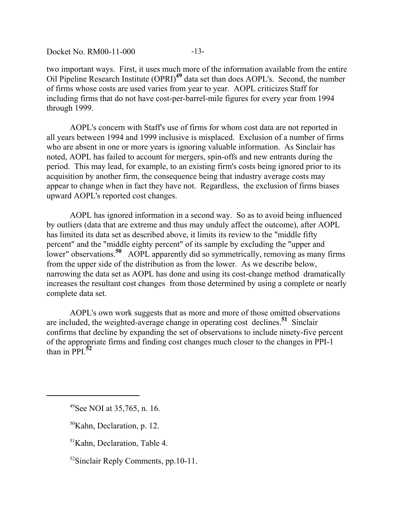Docket No. RM00-11-000 -13-

two important ways. First, it uses much more of the information available from the entire Oil Pipeline Research Institute (OPRI)**49** data set than does AOPL's. Second, the number of firms whose costs are used varies from year to year. AOPL criticizes Staff for including firms that do not have cost-per-barrel-mile figures for every year from 1994 through 1999.

AOPL's concern with Staff's use of firms for whom cost data are not reported in all years between 1994 and 1999 inclusive is misplaced. Exclusion of a number of firms who are absent in one or more years is ignoring valuable information. As Sinclair has noted, AOPL has failed to account for mergers, spin-offs and new entrants during the period. This may lead, for example, to an existing firm's costs being ignored prior to its acquisition by another firm, the consequence being that industry average costs may appear to change when in fact they have not. Regardless, the exclusion of firms biases upward AOPL's reported cost changes.

AOPL has ignored information in a second way. So as to avoid being influenced by outliers (data that are extreme and thus may unduly affect the outcome), after AOPL has limited its data set as described above, it limits its review to the "middle fifty percent" and the "middle eighty percent" of its sample by excluding the "upper and lower" observations.**50** AOPL apparently did so symmetrically, removing as many firms from the upper side of the distribution as from the lower. As we describe below, narrowing the data set as AOPL has done and using its cost-change method dramatically increases the resultant cost changes from those determined by using a complete or nearly complete data set.

AOPL's own work suggests that as more and more of those omitted observations are included, the weighted-average change in operating cost declines.**51** Sinclair confirms that decline by expanding the set of observations to include ninety-five percent of the appropriate firms and finding cost changes much closer to the changes in PPI-1 than in PPI $\frac{52}{2}$ 

<sup>49</sup>See NOI at 35,765, n. 16.

 $50$ Kahn, Declaration, p. 12.

<sup>51</sup>Kahn, Declaration, Table 4.

<sup>52</sup>Sinclair Reply Comments, pp.10-11.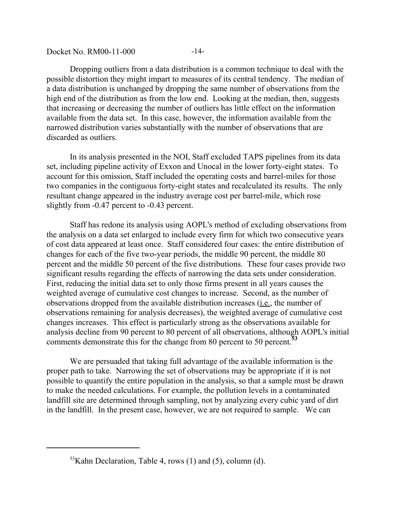Docket No. RM00-11-000 -14-

Dropping outliers from a data distribution is a common technique to deal with the possible distortion they might impart to measures of its central tendency. The median of a data distribution is unchanged by dropping the same number of observations from the high end of the distribution as from the low end. Looking at the median, then, suggests that increasing or decreasing the number of outliers has little effect on the information available from the data set. In this case, however, the information available from the narrowed distribution varies substantially with the number of observations that are discarded as outliers.

In its analysis presented in the NOI, Staff excluded TAPS pipelines from its data set, including pipeline activity of Exxon and Unocal in the lower forty-eight states. To account for this omission, Staff included the operating costs and barrel-miles for those two companies in the contiguous forty-eight states and recalculated its results. The only resultant change appeared in the industry average cost per barrel-mile, which rose slightly from -0.47 percent to -0.43 percent.

Staff has redone its analysis using AOPL's method of excluding observations from the analysis on a data set enlarged to include every firm for which two consecutive years of cost data appeared at least once. Staff considered four cases: the entire distribution of changes for each of the five two-year periods, the middle 90 percent, the middle 80 percent and the middle 50 percent of the five distributions. These four cases provide two significant results regarding the effects of narrowing the data sets under consideration. First, reducing the initial data set to only those firms present in all years causes the weighted average of cumulative cost changes to increase. Second, as the number of observations dropped from the available distribution increases (i.e., the number of observations remaining for analysis decreases), the weighted average of cumulative cost changes increases. This effect is particularly strong as the observations available for analysis decline from 90 percent to 80 percent of all observations, although AOPL's initial comments demonstrate this for the change from 80 percent to 50 percent.**<sup>53</sup>**

We are persuaded that taking full advantage of the available information is the proper path to take. Narrowing the set of observations may be appropriate if it is not possible to quantify the entire population in the analysis, so that a sample must be drawn to make the needed calculations. For example, the pollution levels in a contaminated landfill site are determined through sampling, not by analyzing every cubic yard of dirt in the landfill. In the present case, however, we are not required to sample. We can

 $53$ Kahn Declaration, Table 4, rows (1) and (5), column (d).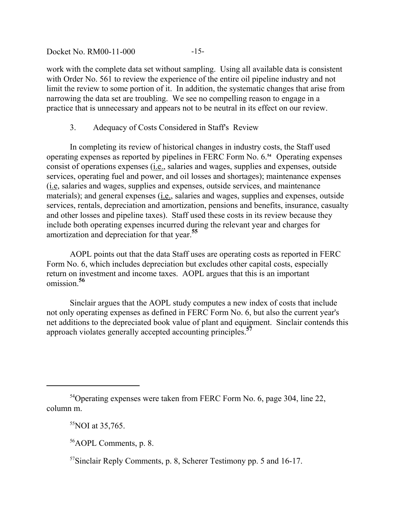Docket No. RM00-11-000 -15-

work with the complete data set without sampling. Using all available data is consistent with Order No. 561 to review the experience of the entire oil pipeline industry and not limit the review to some portion of it. In addition, the systematic changes that arise from narrowing the data set are troubling. We see no compelling reason to engage in a practice that is unnecessary and appears not to be neutral in its effect on our review.

## 3. Adequacy of Costs Considered in Staff's Review

In completing its review of historical changes in industry costs, the Staff used operating expenses as reported by pipelines in FERC Form No. 6.**54** Operating expenses consist of operations expenses (i.e., salaries and wages, supplies and expenses, outside services, operating fuel and power, and oil losses and shortages); maintenance expenses (i.e, salaries and wages, supplies and expenses, outside services, and maintenance materials); and general expenses (i.e., salaries and wages, supplies and expenses, outside services, rentals, depreciation and amortization, pensions and benefits, insurance, casualty and other losses and pipeline taxes). Staff used these costs in its review because they include both operating expenses incurred during the relevant year and charges for amortization and depreciation for that year.**<sup>55</sup>**

AOPL points out that the data Staff uses are operating costs as reported in FERC Form No. 6, which includes depreciation but excludes other capital costs, especially return on investment and income taxes. AOPL argues that this is an important omission.**<sup>56</sup>**

Sinclair argues that the AOPL study computes a new index of costs that include not only operating expenses as defined in FERC Form No. 6, but also the current year's net additions to the depreciated book value of plant and equipment. Sinclair contends this approach violates generally accepted accounting principles.**<sup>57</sup>**

<sup>&</sup>lt;sup>54</sup>Operating expenses were taken from FERC Form No. 6, page 304, line 22, column m.

 $55NOI$  at 35,765.

<sup>56</sup>AOPL Comments, p. 8.

<sup>57</sup>Sinclair Reply Comments, p. 8, Scherer Testimony pp. 5 and 16-17.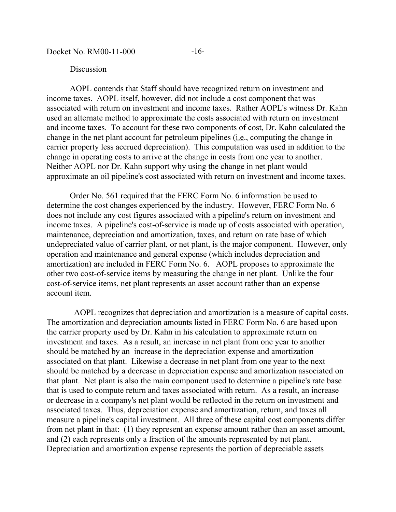Docket No. RM00-11-000 -16-

#### Discussion

AOPL contends that Staff should have recognized return on investment and income taxes. AOPL itself, however, did not include a cost component that was associated with return on investment and income taxes. Rather AOPL's witness Dr. Kahn used an alternate method to approximate the costs associated with return on investment and income taxes. To account for these two components of cost, Dr. Kahn calculated the change in the net plant account for petroleum pipelines (i.e., computing the change in carrier property less accrued depreciation). This computation was used in addition to the change in operating costs to arrive at the change in costs from one year to another. Neither AOPL nor Dr. Kahn support why using the change in net plant would approximate an oil pipeline's cost associated with return on investment and income taxes.

Order No. 561 required that the FERC Form No. 6 information be used to determine the cost changes experienced by the industry. However, FERC Form No. 6 does not include any cost figures associated with a pipeline's return on investment and income taxes. A pipeline's cost-of-service is made up of costs associated with operation, maintenance, depreciation and amortization, taxes, and return on rate base of which undepreciated value of carrier plant, or net plant, is the major component. However, only operation and maintenance and general expense (which includes depreciation and amortization) are included in FERC Form No. 6. AOPL proposes to approximate the other two cost-of-service items by measuring the change in net plant. Unlike the four cost-of-service items, net plant represents an asset account rather than an expense account item.

 AOPL recognizes that depreciation and amortization is a measure of capital costs. The amortization and depreciation amounts listed in FERC Form No. 6 are based upon the carrier property used by Dr. Kahn in his calculation to approximate return on investment and taxes. As a result, an increase in net plant from one year to another should be matched by an increase in the depreciation expense and amortization associated on that plant. Likewise a decrease in net plant from one year to the next should be matched by a decrease in depreciation expense and amortization associated on that plant. Net plant is also the main component used to determine a pipeline's rate base that is used to compute return and taxes associated with return. As a result, an increase or decrease in a company's net plant would be reflected in the return on investment and associated taxes. Thus, depreciation expense and amortization, return, and taxes all measure a pipeline's capital investment. All three of these capital cost components differ from net plant in that: (1) they represent an expense amount rather than an asset amount, and (2) each represents only a fraction of the amounts represented by net plant. Depreciation and amortization expense represents the portion of depreciable assets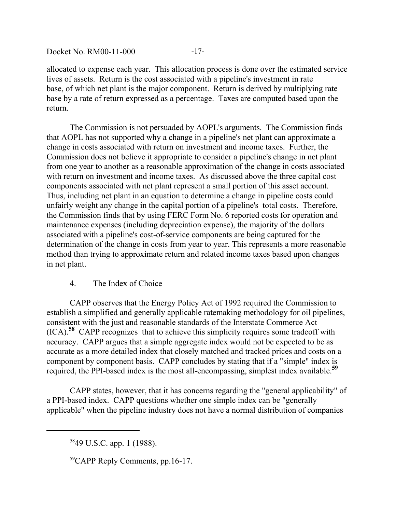Docket No. RM00-11-000 -17-

allocated to expense each year. This allocation process is done over the estimated service lives of assets. Return is the cost associated with a pipeline's investment in rate base, of which net plant is the major component. Return is derived by multiplying rate base by a rate of return expressed as a percentage. Taxes are computed based upon the return.

The Commission is not persuaded by AOPL's arguments. The Commission finds that AOPL has not supported why a change in a pipeline's net plant can approximate a change in costs associated with return on investment and income taxes. Further, the Commission does not believe it appropriate to consider a pipeline's change in net plant from one year to another as a reasonable approximation of the change in costs associated with return on investment and income taxes. As discussed above the three capital cost components associated with net plant represent a small portion of this asset account. Thus, including net plant in an equation to determine a change in pipeline costs could unfairly weight any change in the capital portion of a pipeline's total costs. Therefore, the Commission finds that by using FERC Form No. 6 reported costs for operation and maintenance expenses (including depreciation expense), the majority of the dollars associated with a pipeline's cost-of-service components are being captured for the determination of the change in costs from year to year. This represents a more reasonable method than trying to approximate return and related income taxes based upon changes in net plant.

# 4. The Index of Choice

CAPP observes that the Energy Policy Act of 1992 required the Commission to establish a simplified and generally applicable ratemaking methodology for oil pipelines, consistent with the just and reasonable standards of the Interstate Commerce Act (ICA).**58** CAPP recognizes that to achieve this simplicity requires some tradeoff with accuracy. CAPP argues that a simple aggregate index would not be expected to be as accurate as a more detailed index that closely matched and tracked prices and costs on a component by component basis. CAPP concludes by stating that if a "simple" index is required, the PPI-based index is the most all-encompassing, simplest index available.**<sup>59</sup>**

CAPP states, however, that it has concerns regarding the "general applicability" of a PPI-based index. CAPP questions whether one simple index can be "generally applicable" when the pipeline industry does not have a normal distribution of companies

59CAPP Reply Comments, pp.16-17.

<sup>5849</sup> U.S.C. app. 1 (1988).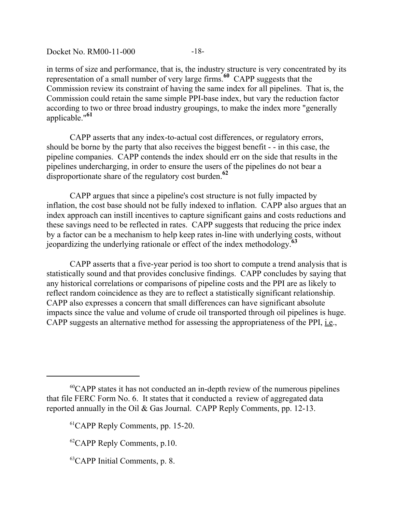Docket No. RM00-11-000 -18-

in terms of size and performance, that is, the industry structure is very concentrated by its representation of a small number of very large firms.**60** CAPP suggests that the Commission review its constraint of having the same index for all pipelines. That is, the Commission could retain the same simple PPI-base index, but vary the reduction factor according to two or three broad industry groupings, to make the index more "generally applicable."**<sup>61</sup>**

CAPP asserts that any index-to-actual cost differences, or regulatory errors, should be borne by the party that also receives the biggest benefit - - in this case, the pipeline companies. CAPP contends the index should err on the side that results in the pipelines undercharging, in order to ensure the users of the pipelines do not bear a disproportionate share of the regulatory cost burden.**<sup>62</sup>**

CAPP argues that since a pipeline's cost structure is not fully impacted by inflation, the cost base should not be fully indexed to inflation. CAPP also argues that an index approach can instill incentives to capture significant gains and costs reductions and these savings need to be reflected in rates. CAPP suggests that reducing the price index by a factor can be a mechanism to help keep rates in-line with underlying costs, without jeopardizing the underlying rationale or effect of the index methodology.**<sup>63</sup>**

CAPP asserts that a five-year period is too short to compute a trend analysis that is statistically sound and that provides conclusive findings. CAPP concludes by saying that any historical correlations or comparisons of pipeline costs and the PPI are as likely to reflect random coincidence as they are to reflect a statistically significant relationship. CAPP also expresses a concern that small differences can have significant absolute impacts since the value and volume of crude oil transported through oil pipelines is huge. CAPP suggests an alternative method for assessing the appropriateness of the PPI, i.e.,

 $60$ CAPP states it has not conducted an in-depth review of the numerous pipelines that file FERC Form No. 6. It states that it conducted a review of aggregated data reported annually in the Oil & Gas Journal. CAPP Reply Comments, pp. 12-13.

<sup>&</sup>lt;sup>61</sup>CAPP Reply Comments, pp. 15-20.

 ${}^{62}$ CAPP Reply Comments, p.10.

<sup>63</sup>CAPP Initial Comments, p. 8.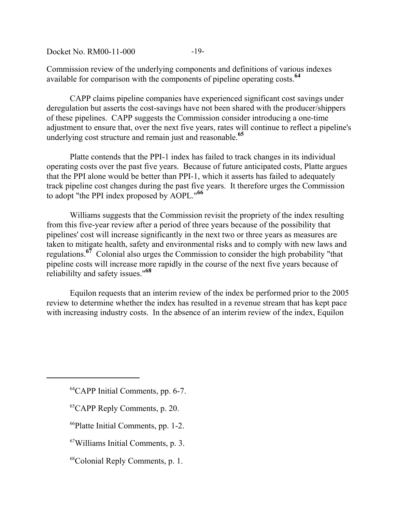Docket No. RM00-11-000 -19-

Commission review of the underlying components and definitions of various indexes available for comparison with the components of pipeline operating costs.**<sup>64</sup>**

CAPP claims pipeline companies have experienced significant cost savings under deregulation but asserts the cost-savings have not been shared with the producer/shippers of these pipelines. CAPP suggests the Commission consider introducing a one-time adjustment to ensure that, over the next five years, rates will continue to reflect a pipeline's underlying cost structure and remain just and reasonable.**<sup>65</sup>**

Platte contends that the PPI-1 index has failed to track changes in its individual operating costs over the past five years. Because of future anticipated costs, Platte argues that the PPI alone would be better than PPI-1, which it asserts has failed to adequately track pipeline cost changes during the past five years. It therefore urges the Commission to adopt "the PPI index proposed by AOPL."**<sup>66</sup>**

Williams suggests that the Commission revisit the propriety of the index resulting from this five-year review after a period of three years because of the possibility that pipelines' cost will increase significantly in the next two or three years as measures are taken to mitigate health, safety and environmental risks and to comply with new laws and regulations.**67** Colonial also urges the Commission to consider the high probability "that pipeline costs will increase more rapidly in the course of the next five years because of reliabililty and safety issues."**<sup>68</sup>**

Equilon requests that an interim review of the index be performed prior to the 2005 review to determine whether the index has resulted in a revenue stream that has kept pace with increasing industry costs. In the absence of an interim review of the index, Equilon

- 65CAPP Reply Comments, p. 20.
- 66Platte Initial Comments, pp. 1-2.
- 67Williams Initial Comments, p. 3.
- 68Colonial Reply Comments, p. 1.

<sup>&</sup>lt;sup>64</sup>CAPP Initial Comments, pp. 6-7.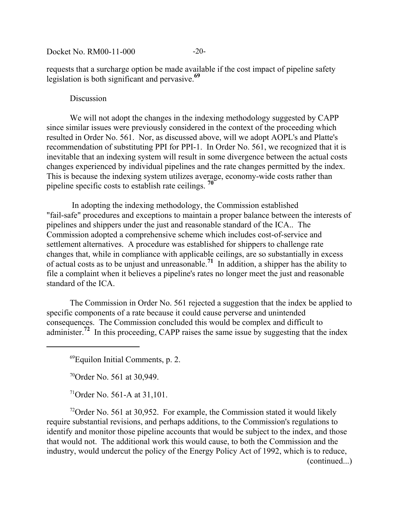Docket No. RM00-11-000 -20-

requests that a surcharge option be made available if the cost impact of pipeline safety legislation is both significant and pervasive.**<sup>69</sup>**

#### **Discussion**

We will not adopt the changes in the indexing methodology suggested by CAPP since similar issues were previously considered in the context of the proceeding which resulted in Order No. 561. Nor, as discussed above, will we adopt AOPL's and Platte's recommendation of substituting PPI for PPI-1. In Order No. 561, we recognized that it is inevitable that an indexing system will result in some divergence between the actual costs changes experienced by individual pipelines and the rate changes permitted by the index. This is because the indexing system utilizes average, economy-wide costs rather than pipeline specific costs to establish rate ceilings. **<sup>70</sup>**

 In adopting the indexing methodology, the Commission established "fail-safe" procedures and exceptions to maintain a proper balance between the interests of pipelines and shippers under the just and reasonable standard of the ICA.. The Commission adopted a comprehensive scheme which includes cost-of-service and settlement alternatives. A procedure was established for shippers to challenge rate changes that, while in compliance with applicable ceilings, are so substantially in excess of actual costs as to be unjust and unreasonable.**71** In addition, a shipper has the ability to file a complaint when it believes a pipeline's rates no longer meet the just and reasonable standard of the ICA

The Commission in Order No. 561 rejected a suggestion that the index be applied to specific components of a rate because it could cause perverse and unintended consequences. The Commission concluded this would be complex and difficult to administer.<sup>72</sup> In this proceeding, CAPP raises the same issue by suggesting that the index

69Equilon Initial Comments, p. 2.

 $70$ Order No. 561 at 30,949.

 $71$ Order No. 561-A at 31,101.

<sup>72</sup>Order No. 561 at 30,952. For example, the Commission stated it would likely require substantial revisions, and perhaps additions, to the Commission's regulations to identify and monitor those pipeline accounts that would be subject to the index, and those that would not. The additional work this would cause, to both the Commission and the industry, would undercut the policy of the Energy Policy Act of 1992, which is to reduce,

(continued...)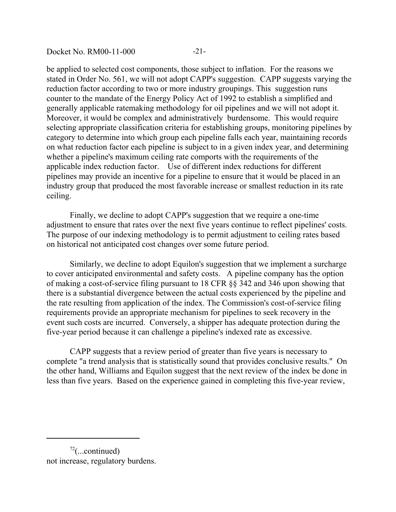Docket No. RM00-11-000 -21-

be applied to selected cost components, those subject to inflation. For the reasons we stated in Order No. 561, we will not adopt CAPP's suggestion. CAPP suggests varying the reduction factor according to two or more industry groupings. This suggestion runs counter to the mandate of the Energy Policy Act of 1992 to establish a simplified and generally applicable ratemaking methodology for oil pipelines and we will not adopt it. Moreover, it would be complex and administratively burdensome. This would require selecting appropriate classification criteria for establishing groups, monitoring pipelines by category to determine into which group each pipeline falls each year, maintaining records on what reduction factor each pipeline is subject to in a given index year, and determining whether a pipeline's maximum ceiling rate comports with the requirements of the applicable index reduction factor. Use of different index reductions for different pipelines may provide an incentive for a pipeline to ensure that it would be placed in an industry group that produced the most favorable increase or smallest reduction in its rate ceiling.

Finally, we decline to adopt CAPP's suggestion that we require a one-time adjustment to ensure that rates over the next five years continue to reflect pipelines' costs. The purpose of our indexing methodology is to permit adjustment to ceiling rates based on historical not anticipated cost changes over some future period.

Similarly, we decline to adopt Equilon's suggestion that we implement a surcharge to cover anticipated environmental and safety costs. A pipeline company has the option of making a cost-of-service filing pursuant to 18 CFR §§ 342 and 346 upon showing that there is a substantial divergence between the actual costs experienced by the pipeline and the rate resulting from application of the index. The Commission's cost-of-service filing requirements provide an appropriate mechanism for pipelines to seek recovery in the event such costs are incurred. Conversely, a shipper has adequate protection during the five-year period because it can challenge a pipeline's indexed rate as excessive.

CAPP suggests that a review period of greater than five years is necessary to complete "a trend analysis that is statistically sound that provides conclusive results." On the other hand, Williams and Equilon suggest that the next review of the index be done in less than five years. Based on the experience gained in completing this five-year review,

 $72$ (...continued) not increase, regulatory burdens.